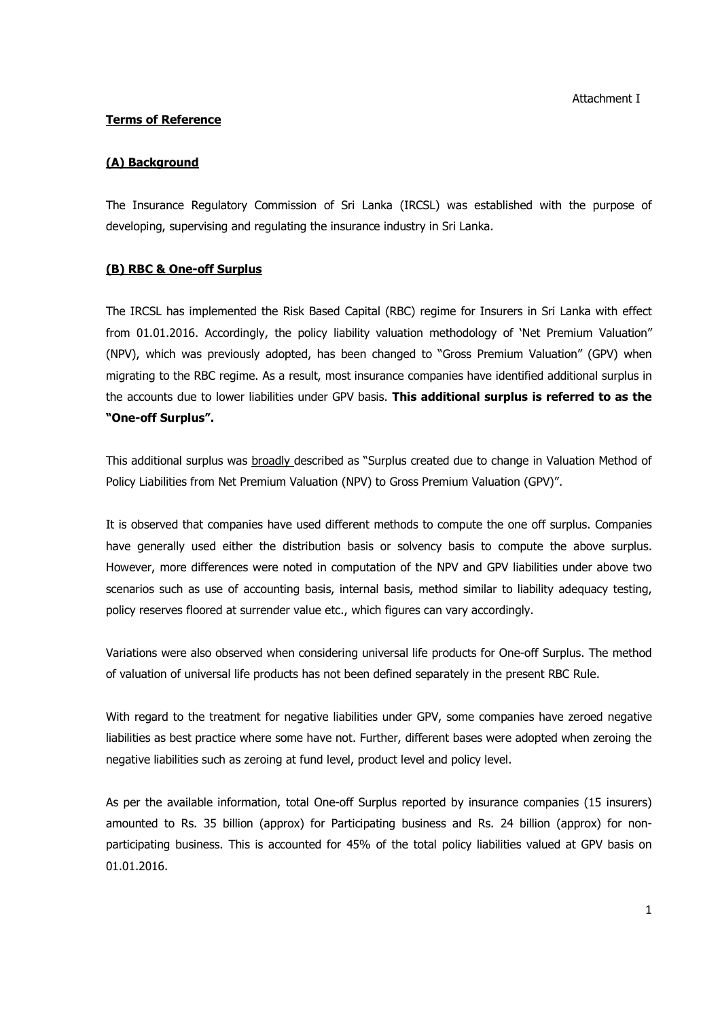### **Terms of Reference**

#### **(A) Background**

The Insurance Regulatory Commission of Sri Lanka (IRCSL) was established with the purpose of developing, supervising and regulating the insurance industry in Sri Lanka.

#### **(B) RBC & One-off Surplus**

The IRCSL has implemented the Risk Based Capital (RBC) regime for Insurers in Sri Lanka with effect from 01.01.2016. Accordingly, the policy liability valuation methodology of 'Net Premium Valuation" (NPV), which was previously adopted, has been changed to "Gross Premium Valuation" (GPV) when migrating to the RBC regime. As a result, most insurance companies have identified additional surplus in the accounts due to lower liabilities under GPV basis. **This additional surplus is referred to as the "One-off Surplus".** 

This additional surplus was broadly described as "Surplus created due to change in Valuation Method of Policy Liabilities from Net Premium Valuation (NPV) to Gross Premium Valuation (GPV)".

It is observed that companies have used different methods to compute the one off surplus. Companies have generally used either the distribution basis or solvency basis to compute the above surplus. However, more differences were noted in computation of the NPV and GPV liabilities under above two scenarios such as use of accounting basis, internal basis, method similar to liability adequacy testing, policy reserves floored at surrender value etc., which figures can vary accordingly.

Variations were also observed when considering universal life products for One-off Surplus. The method of valuation of universal life products has not been defined separately in the present RBC Rule.

With regard to the treatment for negative liabilities under GPV, some companies have zeroed negative liabilities as best practice where some have not. Further, different bases were adopted when zeroing the negative liabilities such as zeroing at fund level, product level and policy level.

As per the available information, total One-off Surplus reported by insurance companies (15 insurers) amounted to Rs. 35 billion (approx) for Participating business and Rs. 24 billion (approx) for nonparticipating business. This is accounted for 45% of the total policy liabilities valued at GPV basis on 01.01.2016.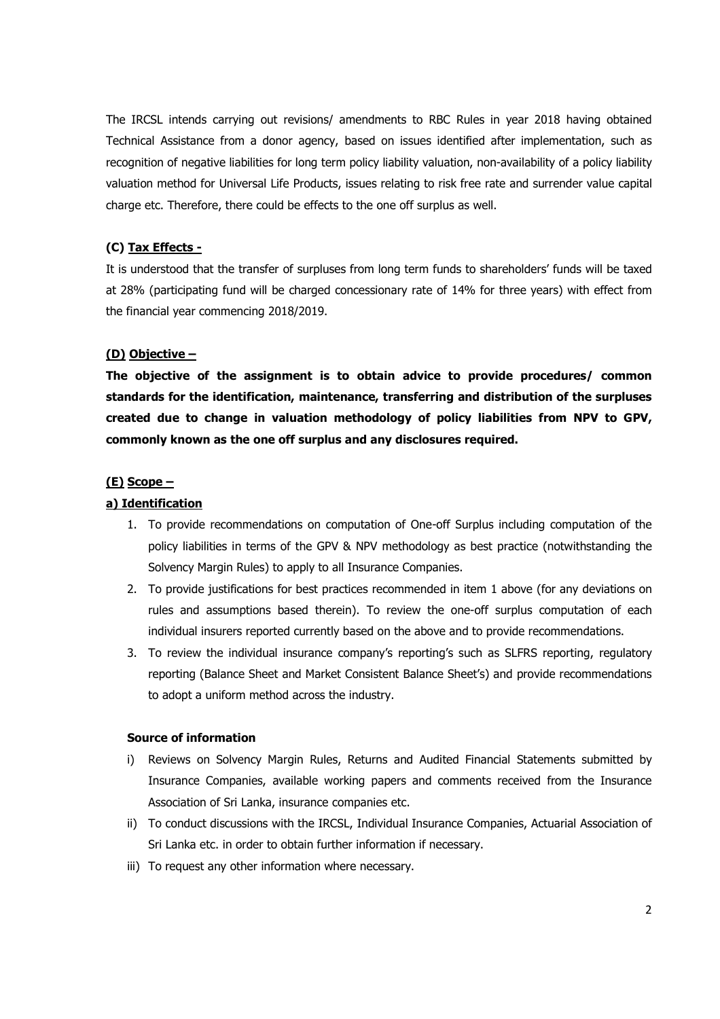The IRCSL intends carrying out revisions/ amendments to RBC Rules in year 2018 having obtained Technical Assistance from a donor agency, based on issues identified after implementation, such as recognition of negative liabilities for long term policy liability valuation, non-availability of a policy liability valuation method for Universal Life Products, issues relating to risk free rate and surrender value capital charge etc. Therefore, there could be effects to the one off surplus as well.

### **(C) Tax Effects -**

It is understood that the transfer of surpluses from long term funds to shareholders' funds will be taxed at 28% (participating fund will be charged concessionary rate of 14% for three years) with effect from the financial year commencing 2018/2019.

#### **(D) Objective –**

**The objective of the assignment is to obtain advice to provide procedures/ common standards for the identification, maintenance, transferring and distribution of the surpluses created due to change in valuation methodology of policy liabilities from NPV to GPV, commonly known as the one off surplus and any disclosures required.** 

### **(E) Scope –**

### **a) Identification**

- 1. To provide recommendations on computation of One-off Surplus including computation of the policy liabilities in terms of the GPV & NPV methodology as best practice (notwithstanding the Solvency Margin Rules) to apply to all Insurance Companies.
- 2. To provide justifications for best practices recommended in item 1 above (for any deviations on rules and assumptions based therein). To review the one-off surplus computation of each individual insurers reported currently based on the above and to provide recommendations.
- 3. To review the individual insurance company's reporting's such as SLFRS reporting, regulatory reporting (Balance Sheet and Market Consistent Balance Sheet's) and provide recommendations to adopt a uniform method across the industry.

#### **Source of information**

- i) Reviews on Solvency Margin Rules, Returns and Audited Financial Statements submitted by Insurance Companies, available working papers and comments received from the Insurance Association of Sri Lanka, insurance companies etc.
- ii) To conduct discussions with the IRCSL, Individual Insurance Companies, Actuarial Association of Sri Lanka etc. in order to obtain further information if necessary.
- iii) To request any other information where necessary.